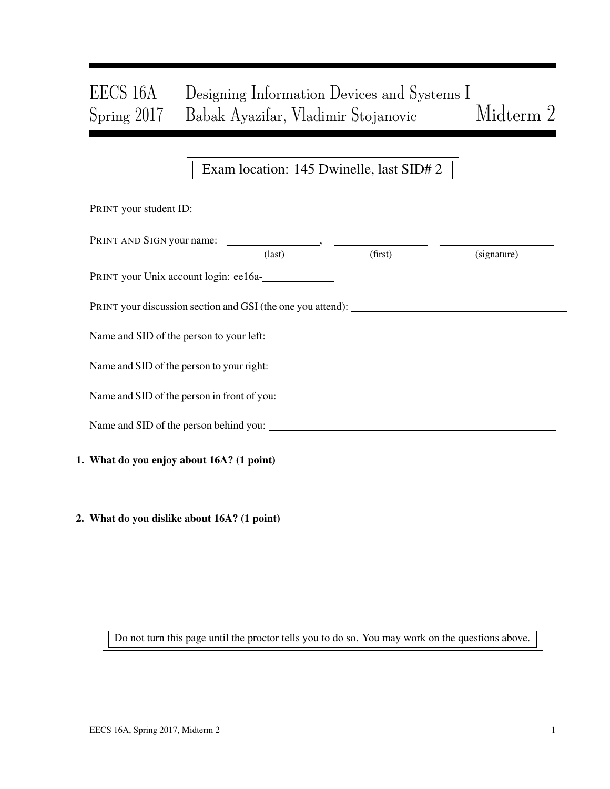# EECS 16A Designing Information Devices and Systems I Spring 2017 Babak Ayazifar, Vladimir Stojanovic Midterm 2

## Exam location: 145 Dwinelle, last SID# 2

| PRINT your student ID:                      |                 |         |             |  |
|---------------------------------------------|-----------------|---------|-------------|--|
|                                             | $\text{(last)}$ | (first) | (signature) |  |
| PRINT your Unix account login: ee16a-       |                 |         |             |  |
|                                             |                 |         |             |  |
| Name and SID of the person to your left:    |                 |         |             |  |
|                                             |                 |         |             |  |
| Name and SID of the person in front of you: |                 |         |             |  |
|                                             |                 |         |             |  |
| 1. What do you enjoy about 16A? (1 point)   |                 |         |             |  |
|                                             |                 |         |             |  |

2. What do you dislike about 16A? (1 point)

Do not turn this page until the proctor tells you to do so. You may work on the questions above.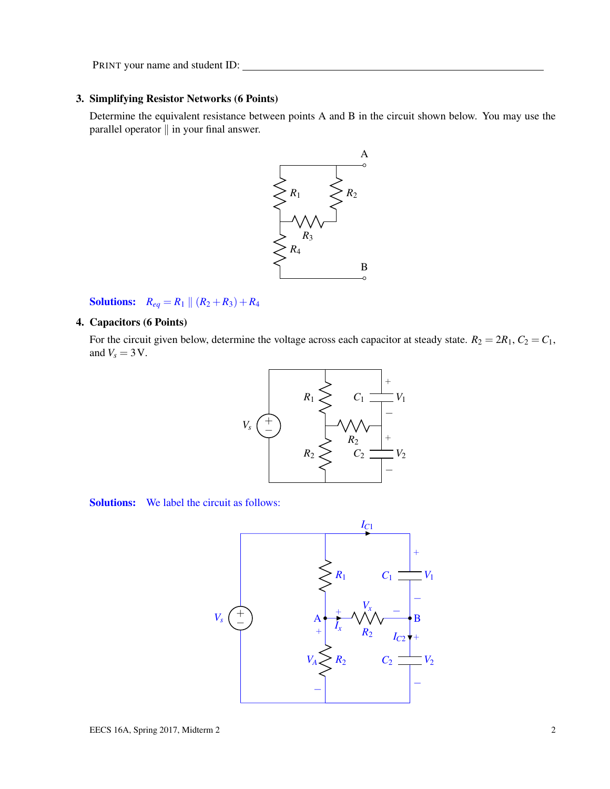#### 3. Simplifying Resistor Networks (6 Points)

Determine the equivalent resistance between points A and B in the circuit shown below. You may use the parallel operator  $\parallel$  in your final answer.



**Solutions:**  $R_{eq} = R_1 || (R_2 + R_3) + R_4$ 

#### 4. Capacitors (6 Points)

For the circuit given below, determine the voltage across each capacitor at steady state.  $R_2 = 2R_1$ ,  $C_2 = C_1$ , and  $V_s = 3$  V.



Solutions: We label the circuit as follows:

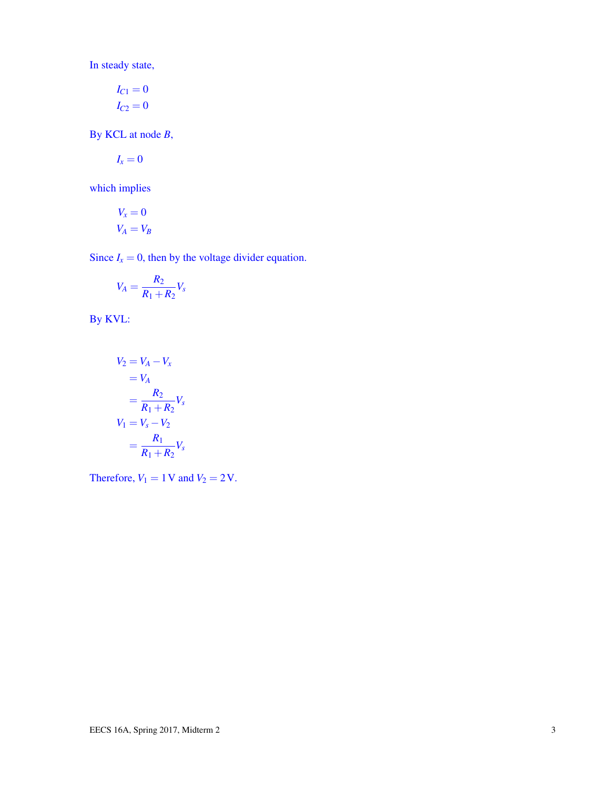In steady state,

$$
I_{C1} = 0
$$

$$
I_{C2} = 0
$$

By KCL at node *B*,

$$
I_x=0
$$

which implies

$$
V_x = 0
$$
  

$$
V_A = V_B
$$

Since  $I_x = 0$ , then by the voltage divider equation.

$$
V_A = \frac{R_2}{R_1 + R_2} V_s
$$

By KVL:

$$
V_2 = V_A - V_x
$$
  
=  $V_A$   
=  $\frac{R_2}{R_1 + R_2} V_s$   

$$
V_1 = V_s - V_2
$$
  
=  $\frac{R_1}{R_1 + R_2} V_s$ 

Therefore,  $V_1 = 1$  V and  $V_2 = 2$  V.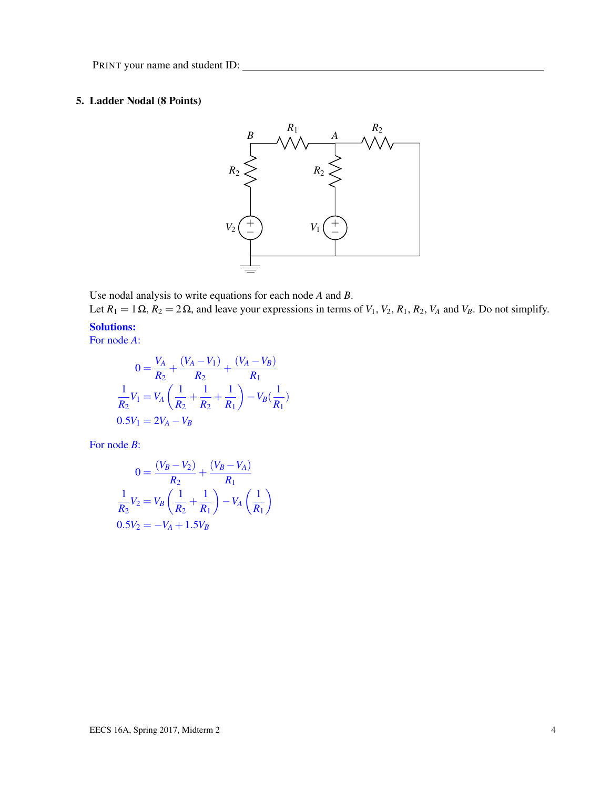### 5. Ladder Nodal (8 Points)



Use nodal analysis to write equations for each node *A* and *B*.

Let  $R_1 = 1 \Omega$ ,  $R_2 = 2 \Omega$ , and leave your expressions in terms of  $V_1$ ,  $V_2$ ,  $R_1$ ,  $R_2$ ,  $V_A$  and  $V_B$ . Do not simplify. Solutions:

For node *A*:

$$
0 = \frac{V_A}{R_2} + \frac{(V_A - V_1)}{R_2} + \frac{(V_A - V_B)}{R_1}
$$
  

$$
\frac{1}{R_2}V_1 = V_A \left(\frac{1}{R_2} + \frac{1}{R_2} + \frac{1}{R_1}\right) - V_B(\frac{1}{R_1})
$$
  

$$
0.5V_1 = 2V_A - V_B
$$

For node *B*:

$$
0 = \frac{(V_B - V_2)}{R_2} + \frac{(V_B - V_A)}{R_1}
$$
  

$$
\frac{1}{R_2}V_2 = V_B \left(\frac{1}{R_2} + \frac{1}{R_1}\right) - V_A \left(\frac{1}{R_1}\right)
$$
  

$$
0.5V_2 = -V_A + 1.5V_B
$$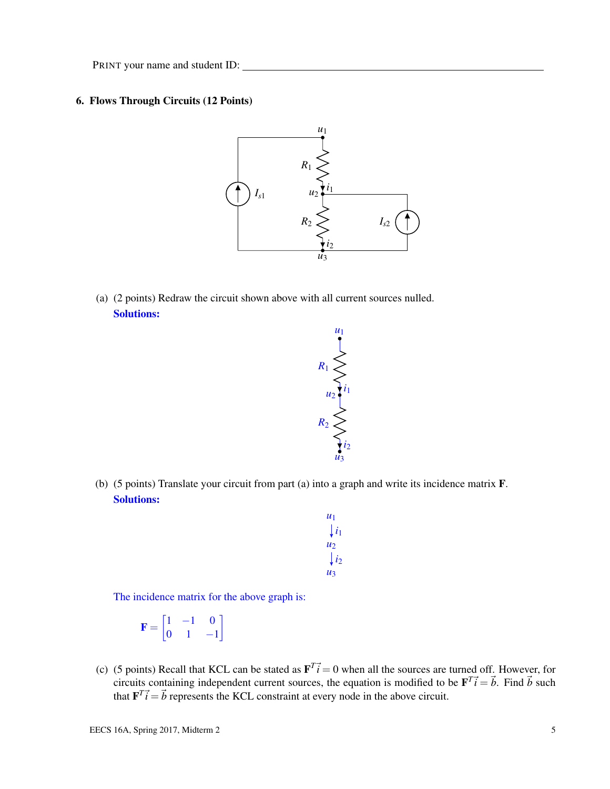#### 6. Flows Through Circuits (12 Points)



(a) (2 points) Redraw the circuit shown above with all current sources nulled. Solutions:



(b) (5 points) Translate your circuit from part (a) into a graph and write its incidence matrix F. Solutions:

| U1               |
|------------------|
| $\downarrow i_1$ |
| $u_{2}$          |
| $\int i_2$       |
| $\mu_3$          |

The incidence matrix for the above graph is:

$$
\mathbf{F} = \begin{bmatrix} 1 & -1 & 0 \\ 0 & 1 & -1 \end{bmatrix}
$$

(c) (5 points) Recall that KCL can be stated as  $\mathbf{F}^T \vec{i} = 0$  when all the sources are turned off. However, for circuits containing independent current sources, the equation is modified to be  $\mathbf{F}^T \vec{i} = \vec{b}$ . Find  $\vec{b}$  such that  $\mathbf{F}^T \vec{i} = \vec{b}$  represents the KCL constraint at every node in the above circuit.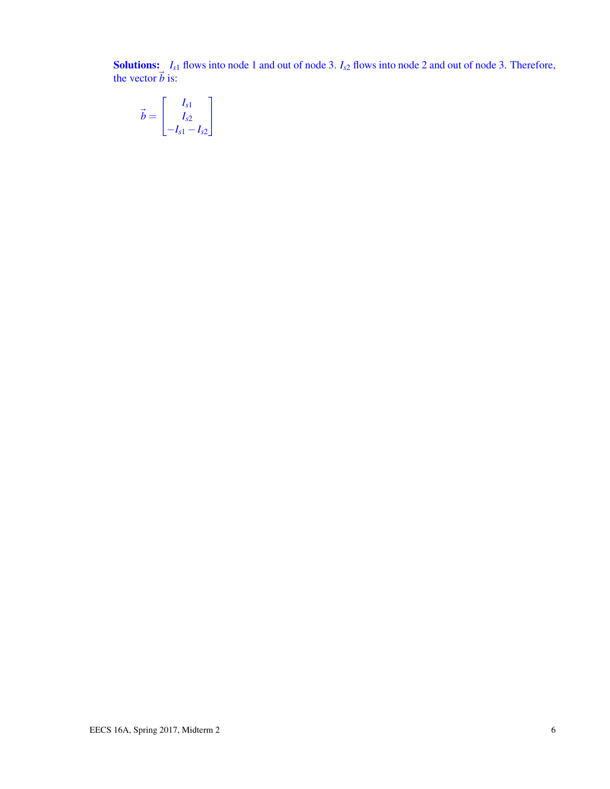**Solutions:**  $I_{s1}$  flows into node 1 and out of node 3.  $I_{s2}$  flows into node 2 and out of node 3. Therefore, the vector  $\vec{b}$  is:

$$
\vec{b} = \begin{bmatrix} I_{s1} \\ I_{s2} \\ -I_{s1} - I_{s2} \end{bmatrix}
$$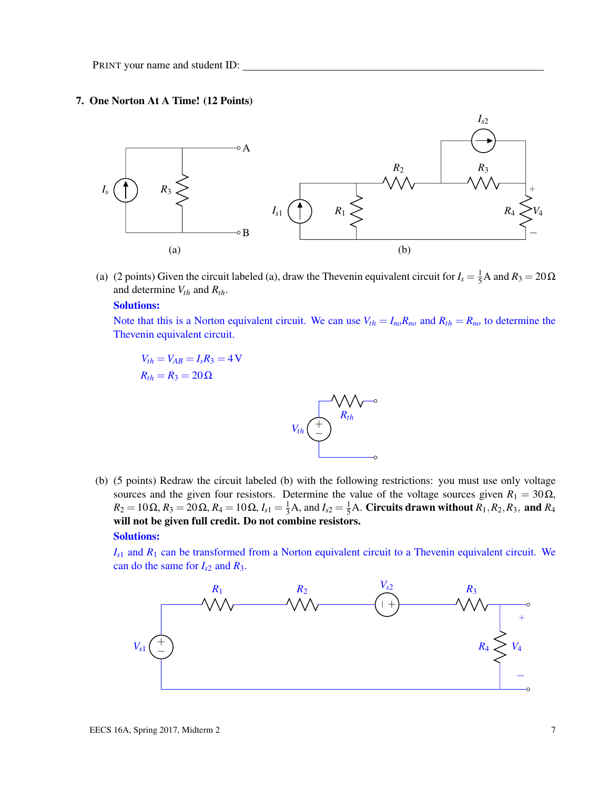#### 7. One Norton At A Time! (12 Points)



(a) (2 points) Given the circuit labeled (a), draw the Thevenin equivalent circuit for  $I_s = \frac{1}{5}A$  and  $R_3 = 20\Omega$ and determine *Vth* and *Rth*.

#### Solutions:

Note that this is a Norton equivalent circuit. We can use  $V_{th} = I_{no}R_{no}$  and  $R_{th} = R_{no}$  to determine the Thevenin equivalent circuit.

$$
V_{th} = V_{AB} = I_s R_3 = 4 \text{ V}
$$
  

$$
R_{th} = R_3 = 20 \Omega
$$



(b) (5 points) Redraw the circuit labeled (b) with the following restrictions: you must use only voltage sources and the given four resistors. Determine the value of the voltage sources given  $R_1 = 30 \Omega$ ,  $R_2 = 10 \Omega$ ,  $R_3 = 20 \Omega$ ,  $R_4 = 10 \Omega$ ,  $I_{s1} = \frac{1}{3} A$ , and  $I_{s2} = \frac{1}{5} A$ . Circuits drawn without  $R_1, R_2, R_3$ , and  $R_4$ will not be given full credit. Do not combine resistors.

#### Solutions:

*Is*<sup>1</sup> and *R*<sup>1</sup> can be transformed from a Norton equivalent circuit to a Thevenin equivalent circuit. We can do the same for  $I_{s2}$  and  $R_3$ .

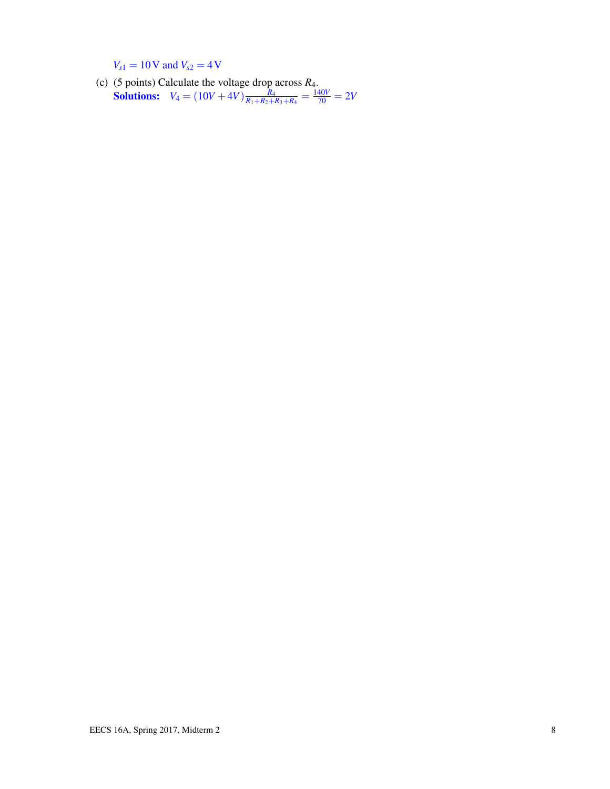$V_{s1} = 10V$  and  $V_{s2} = 4V$ 

(c) (5 points) Calculate the voltage drop across *R*4. **Solutions:**  $V_4 = (10V + 4V) \frac{R_4}{R_1 + R_2 + R_3}$  $\frac{R_4}{R_1+R_2+R_3+R_4}=\frac{140V}{70}=2V$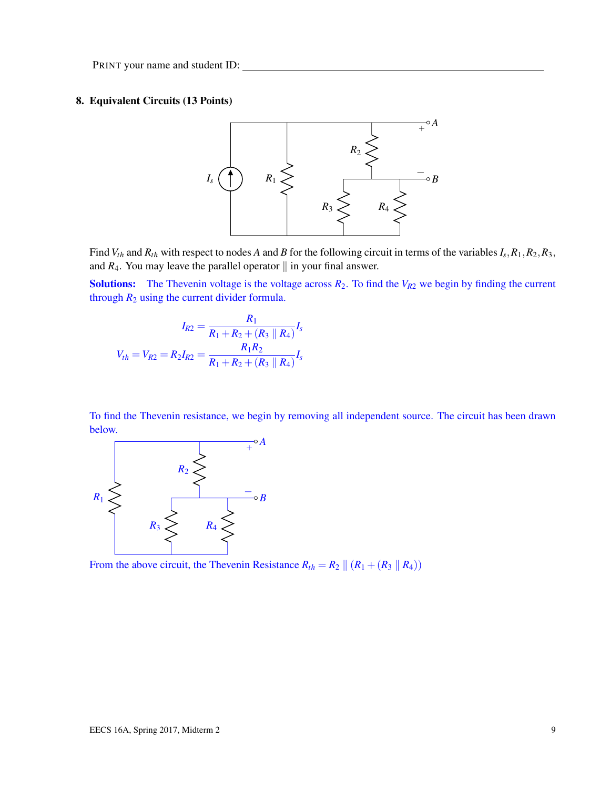#### 8. Equivalent Circuits (13 Points)



Find  $V_{th}$  and  $R_{th}$  with respect to nodes A and B for the following circuit in terms of the variables  $I_s$ ,  $R_1$ ,  $R_2$ ,  $R_3$ , and  $R_4$ . You may leave the parallel operator  $\parallel$  in your final answer.

**Solutions:** The Thevenin voltage is the voltage across  $R_2$ . To find the  $V_{R2}$  we begin by finding the current through  $R_2$  using the current divider formula.

$$
I_{R2} = \frac{R_1}{R_1 + R_2 + (R_3 \parallel R_4)} I_s
$$

$$
V_{th} = V_{R2} = R_2 I_{R2} = \frac{R_1 R_2}{R_1 + R_2 + (R_3 \parallel R_4)} I_s
$$

To find the Thevenin resistance, we begin by removing all independent source. The circuit has been drawn below.



From the above circuit, the Thevenin Resistance  $R_{th} = R_2 || (R_1 + (R_3 || R_4))$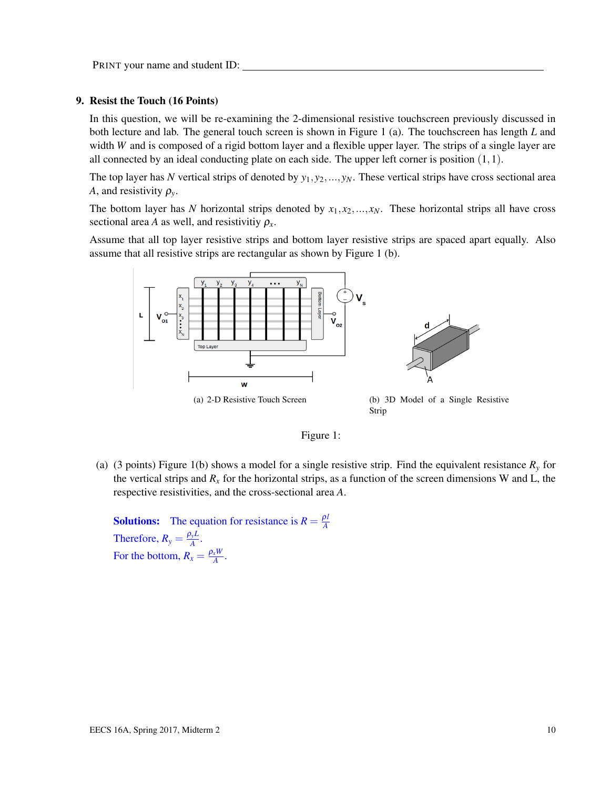#### 9. Resist the Touch (16 Points)

In this question, we will be re-examining the 2-dimensional resistive touchscreen previously discussed in both lecture and lab. The general touch screen is shown in Figure 1 (a). The touchscreen has length *L* and width *W* and is composed of a rigid bottom layer and a flexible upper layer. The strips of a single layer are all connected by an ideal conducting plate on each side. The upper left corner is position  $(1,1)$ .

The top layer has N vertical strips of denoted by  $y_1, y_2, ..., y_N$ . These vertical strips have cross sectional area *A*, and resistivity  $\rho_{y}$ .

The bottom layer has *N* horizontal strips denoted by  $x_1, x_2, ..., x_N$ . These horizontal strips all have cross sectional area *A* as well, and resistivitiy  $\rho_x$ .

Assume that all top layer resistive strips and bottom layer resistive strips are spaced apart equally. Also assume that all resistive strips are rectangular as shown by Figure 1 (b).





(a) (3 points) Figure 1(b) shows a model for a single resistive strip. Find the equivalent resistance *R<sup>y</sup>* for the vertical strips and  $R<sub>x</sub>$  for the horizontal strips, as a function of the screen dimensions W and L, the respective resistivities, and the cross-sectional area *A*.

**Solutions:** The equation for resistance is  $R = \frac{\rho l}{A}$ *A* Therefore,  $R_y = \frac{\rho_y L}{A}$  $\frac{\partial y^L}{A}$ . For the bottom,  $R_x = \frac{\rho_x W}{A}$  $\frac{x^{W}}{A}$ .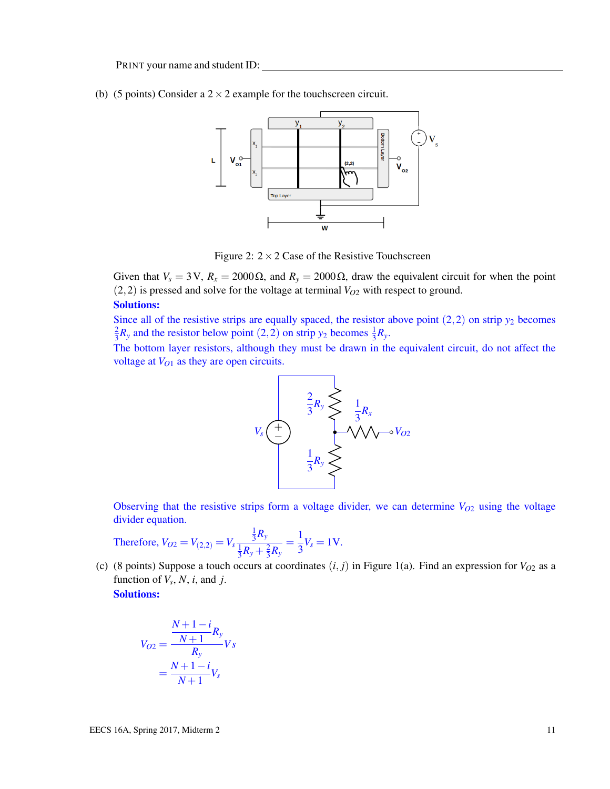(b) (5 points) Consider a  $2 \times 2$  example for the touchscreen circuit.



Figure 2:  $2 \times 2$  Case of the Resistive Touchscreen

Given that  $V_s = 3V$ ,  $R_x = 2000 \Omega$ , and  $R_y = 2000 \Omega$ , draw the equivalent circuit for when the point  $(2,2)$  is pressed and solve for the voltage at terminal  $V_{O2}$  with respect to ground.

#### Solutions:

Since all of the resistive strips are equally spaced, the resistor above point  $(2,2)$  on strip  $y_2$  becomes 2  $\frac{2}{3}R_y$  and the resistor below point (2, 2) on strip *y*<sub>2</sub> becomes  $\frac{1}{3}R_y$ .

The bottom layer resistors, although they must be drawn in the equivalent circuit, do not affect the voltage at *VO*<sup>1</sup> as they are open circuits.



Observing that the resistive strips form a voltage divider, we can determine  $V_{O2}$  using the voltage divider equation.

Therefore, 
$$
V_{O2} = V_{(2,2)} = V_s \frac{\frac{1}{3}R_y}{\frac{1}{3}R_y + \frac{2}{3}R_y} = \frac{1}{3}V_s = 1V.
$$

(c) (8 points) Suppose a touch occurs at coordinates  $(i, j)$  in Figure 1(a). Find an expression for  $V_{O2}$  as a function of  $V_s$ ,  $N$ ,  $i$ , and  $j$ .

Solutions:

$$
V_{O2} = \frac{\frac{N+1-i}{N+1}R_{y}}{R_{y}}Vs
$$

$$
= \frac{N+1-i}{N+1}V_{s}
$$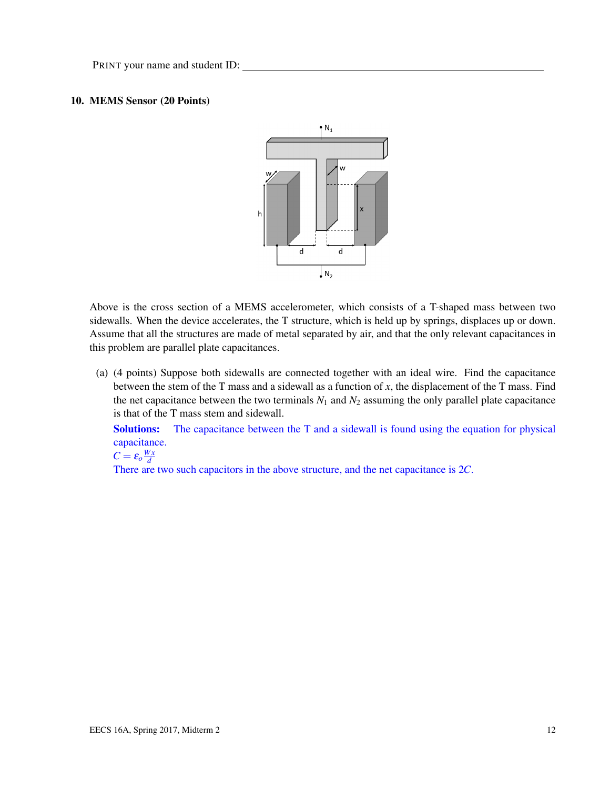#### 10. MEMS Sensor (20 Points)



Above is the cross section of a MEMS accelerometer, which consists of a T-shaped mass between two sidewalls. When the device accelerates, the T structure, which is held up by springs, displaces up or down. Assume that all the structures are made of metal separated by air, and that the only relevant capacitances in this problem are parallel plate capacitances.

(a) (4 points) Suppose both sidewalls are connected together with an ideal wire. Find the capacitance between the stem of the T mass and a sidewall as a function of *x*, the displacement of the T mass. Find the net capacitance between the two terminals  $N_1$  and  $N_2$  assuming the only parallel plate capacitance is that of the T mass stem and sidewall.

Solutions: The capacitance between the T and a sidewall is found using the equation for physical capacitance.

 $C = \varepsilon_o \frac{Wx}{d}$ *d*

There are two such capacitors in the above structure, and the net capacitance is 2*C*.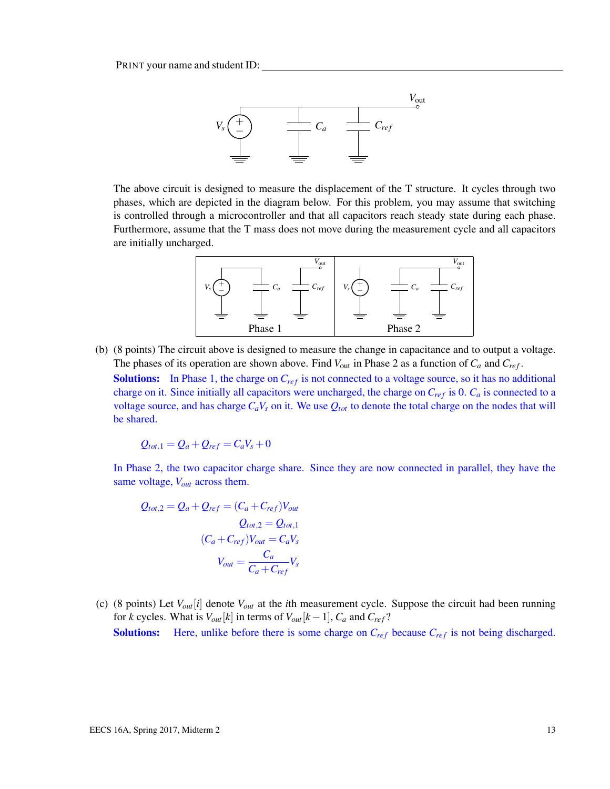

The above circuit is designed to measure the displacement of the T structure. It cycles through two phases, which are depicted in the diagram below. For this problem, you may assume that switching is controlled through a microcontroller and that all capacitors reach steady state during each phase. Furthermore, assume that the T mass does not move during the measurement cycle and all capacitors are initially uncharged.



(b) (8 points) The circuit above is designed to measure the change in capacitance and to output a voltage. The phases of its operation are shown above. Find *V*out in Phase 2 as a function of *C<sup>a</sup>* and *Cre f* .

Solutions: In Phase 1, the charge on  $C_{ref}$  is not connected to a voltage source, so it has no additional charge on it. Since initially all capacitors were uncharged, the charge on  $C_{ref}$  is 0.  $C_a$  is connected to a voltage source, and has charge  $C_aV_s$  on it. We use  $Q_{tot}$  to denote the total charge on the nodes that will be shared.

$$
Q_{tot,1} = Q_a + Q_{ref} = C_a V_s + 0
$$

In Phase 2, the two capacitor charge share. Since they are now connected in parallel, they have the same voltage, *Vout* across them.

$$
Q_{tot,2} = Q_a + Q_{ref} = (C_a + C_{ref})V_{out}
$$

$$
Q_{tot,2} = Q_{tot,1}
$$

$$
(C_a + C_{ref})V_{out} = C_aV_s
$$

$$
V_{out} = \frac{C_a}{C_a + C_{ref}}V_s
$$

(c) (8 points) Let *Vout*[*i*] denote *Vout* at the *i*th measurement cycle. Suppose the circuit had been running for *k* cycles. What is  $V_{out}[k]$  in terms of  $V_{out}[k-1]$ ,  $C_a$  and  $C_{ref}$ ? **Solutions:** Here, unlike before there is some charge on  $C_{ref}$  because  $C_{ref}$  is not being discharged.